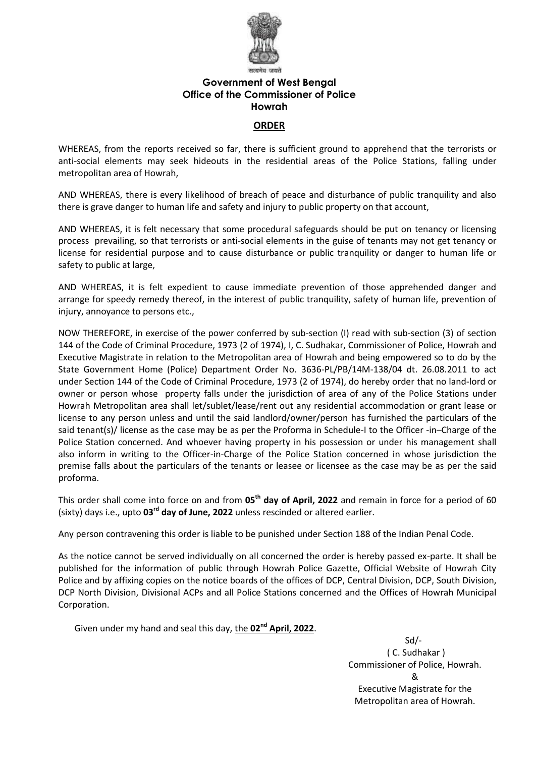

## **Government of West Bengal Office of the Commissioner of Police Howrah**

### **ORDER**

WHEREAS, from the reports received so far, there is sufficient ground to apprehend that the terrorists or anti-social elements may seek hideouts in the residential areas of the Police Stations, falling under metropolitan area of Howrah,

AND WHEREAS, there is every likelihood of breach of peace and disturbance of public tranquility and also there is grave danger to human life and safety and injury to public property on that account,

AND WHEREAS, it is felt necessary that some procedural safeguards should be put on tenancy or licensing process prevailing, so that terrorists or anti-social elements in the guise of tenants may not get tenancy or license for residential purpose and to cause disturbance or public tranquility or danger to human life or safety to public at large,

AND WHEREAS, it is felt expedient to cause immediate prevention of those apprehended danger and arrange for speedy remedy thereof, in the interest of public tranquility, safety of human life, prevention of injury, annoyance to persons etc.,

NOW THEREFORE, in exercise of the power conferred by sub-section (I) read with sub-section (3) of section 144 of the Code of Criminal Procedure, 1973 (2 of 1974), I, C. Sudhakar, Commissioner of Police, Howrah and Executive Magistrate in relation to the Metropolitan area of Howrah and being empowered so to do by the State Government Home (Police) Department Order No. 3636-PL/PB/14M-138/04 dt. 26.08.2011 to act under Section 144 of the Code of Criminal Procedure, 1973 (2 of 1974), do hereby order that no land-lord or owner or person whose property falls under the jurisdiction of area of any of the Police Stations under Howrah Metropolitan area shall let/sublet/lease/rent out any residential accommodation or grant lease or license to any person unless and until the said landlord/owner/person has furnished the particulars of the said tenant(s)/ license as the case may be as per the Proforma in Schedule-I to the Officer -in–Charge of the Police Station concerned. And whoever having property in his possession or under his management shall also inform in writing to the Officer-in-Charge of the Police Station concerned in whose jurisdiction the premise falls about the particulars of the tenants or leasee or licensee as the case may be as per the said proforma.

This order shall come into force on and from 05<sup>th</sup> day of April, 2022 and remain in force for a period of 60 (sixty) days i.e., upto 03<sup>rd</sup> day of June, 2022 unless rescinded or altered earlier.

Any person contravening this order is liable to be punished under Section 188 of the Indian Penal Code.

As the notice cannot be served individually on all concerned the order is hereby passed ex-parte. It shall be published for the information of public through Howrah Police Gazette, Official Website of Howrah City Police and by affixing copies on the notice boards of the offices of DCP, Central Division, DCP, South Division, DCP North Division, Divisional ACPs and all Police Stations concerned and the Offices of Howrah Municipal Corporation.

Given under my hand and seal this day, the **02nd April, 2022**.

 Sd/- ( C. Sudhakar ) Commissioner of Police, Howrah. & Executive Magistrate for the Metropolitan area of Howrah.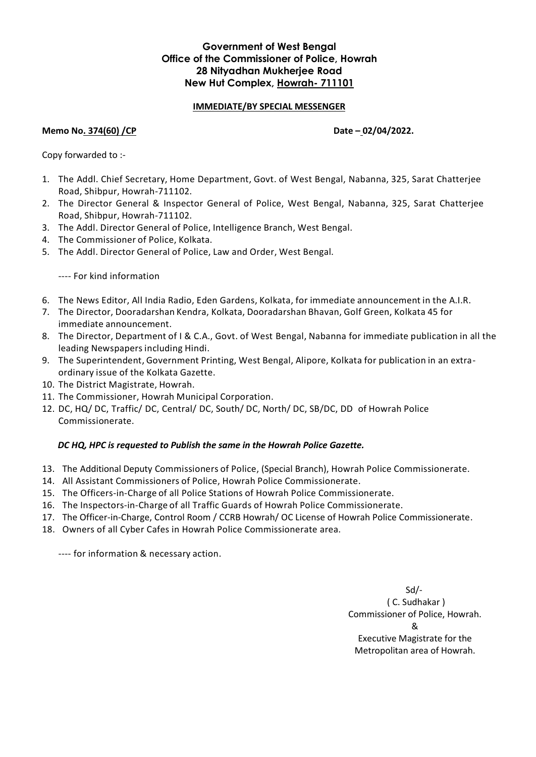## **Government of West Bengal Office of the Commissioner of Police, Howrah 28 Nityadhan Mukherjee Road New Hut Complex, Howrah- 711101**

## **IMMEDIATE/BY SPECIAL MESSENGER**

### **Memo No. 374(60) /CP Date - 02/04/2022.**

Copy forwarded to :-

- 1. The Addl. Chief Secretary, Home Department, Govt. of West Bengal, Nabanna, 325, Sarat Chatterjee Road, Shibpur, Howrah-711102.
- 2. The Director General & Inspector General of Police, West Bengal, Nabanna, 325, Sarat Chatterjee Road, Shibpur, Howrah-711102.
- 3. The Addl. Director General of Police, Intelligence Branch, West Bengal.
- 4. The Commissioner of Police, Kolkata.
- 5. The Addl. Director General of Police, Law and Order, West Bengal.

---- For kind information

- 6. The News Editor, All India Radio, Eden Gardens, Kolkata, for immediate announcement in the A.I.R.
- 7. The Director, Dooradarshan Kendra, Kolkata, Dooradarshan Bhavan, Golf Green, Kolkata 45 for immediate announcement.
- 8. The Director, Department of I & C.A., Govt. of West Bengal, Nabanna for immediate publication in all the leading Newspapers including Hindi.
- 9. The Superintendent, Government Printing, West Bengal, Alipore, Kolkata for publication in an extraordinary issue of the Kolkata Gazette.
- 10. The District Magistrate, Howrah.
- 11. The Commissioner, Howrah Municipal Corporation.
- 12. DC, HQ/ DC, Traffic/ DC, Central/ DC, South/ DC, North/ DC, SB/DC, DD of Howrah Police Commissionerate.

#### *DC HQ, HPC is requested to Publish the same in the Howrah Police Gazette.*

- 13. The Additional Deputy Commissioners of Police, (Special Branch), Howrah Police Commissionerate.
- 14. All Assistant Commissioners of Police, Howrah Police Commissionerate.
- 15. The Officers-in-Charge of all Police Stations of Howrah Police Commissionerate.
- 16. The Inspectors-in-Charge of all Traffic Guards of Howrah Police Commissionerate.
- 17. The Officer-in-Charge, Control Room / CCRB Howrah/ OC License of Howrah Police Commissionerate.
- 18. Owners of all Cyber Cafes in Howrah Police Commissionerate area.

---- for information & necessary action.

 Sd/- ( C. Sudhakar ) Commissioner of Police, Howrah. & Executive Magistrate for the Metropolitan area of Howrah.